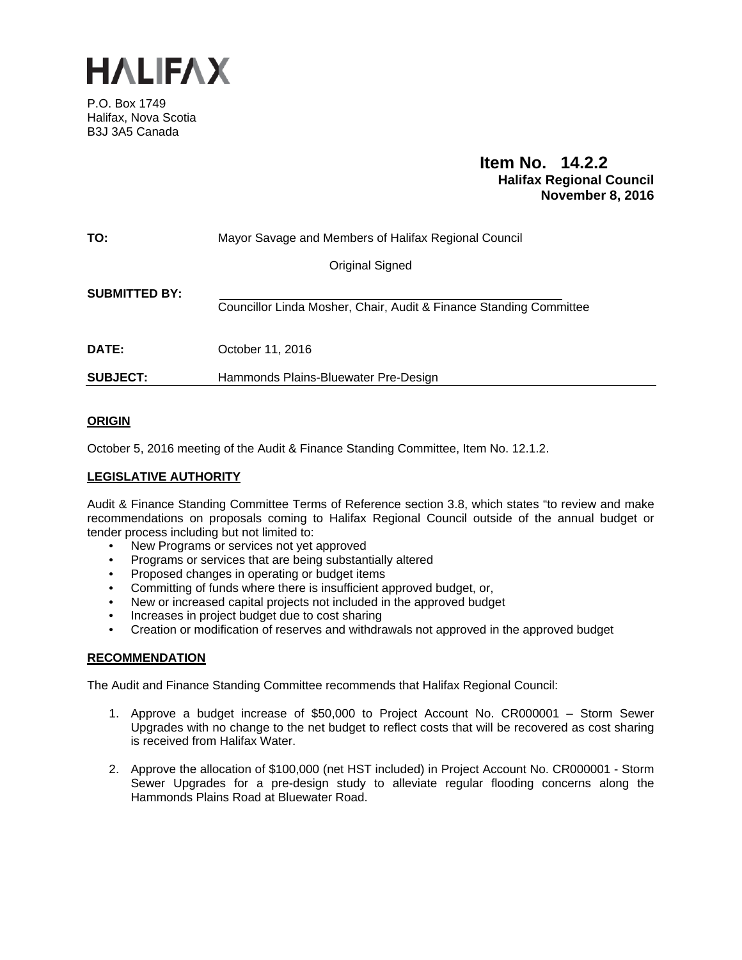

P.O. Box 1749 Halifax, Nova Scotia B3J 3A5 Canada

# **Item No. 14.2.2 Halifax Regional Council November 8, 2016**

| TO:                  | Mayor Savage and Members of Halifax Regional Council               |
|----------------------|--------------------------------------------------------------------|
|                      | <b>Original Signed</b>                                             |
| <b>SUBMITTED BY:</b> | Councillor Linda Mosher, Chair, Audit & Finance Standing Committee |
| <b>DATE:</b>         | October 11, 2016                                                   |
| <b>SUBJECT:</b>      | Hammonds Plains-Bluewater Pre-Design                               |

## **ORIGIN**

October 5, 2016 meeting of the Audit & Finance Standing Committee, Item No. 12.1.2.

## **LEGISLATIVE AUTHORITY**

Audit & Finance Standing Committee Terms of Reference section 3.8, which states "to review and make recommendations on proposals coming to Halifax Regional Council outside of the annual budget or tender process including but not limited to:

- New Programs or services not yet approved
- Programs or services that are being substantially altered
- Proposed changes in operating or budget items
- Committing of funds where there is insufficient approved budget, or,
- New or increased capital projects not included in the approved budget
- Increases in project budget due to cost sharing
- Creation or modification of reserves and withdrawals not approved in the approved budget

## **RECOMMENDATION**

The Audit and Finance Standing Committee recommends that Halifax Regional Council:

- 1. Approve a budget increase of \$50,000 to Project Account No. CR000001 Storm Sewer Upgrades with no change to the net budget to reflect costs that will be recovered as cost sharing is received from Halifax Water.
- 2. Approve the allocation of \$100,000 (net HST included) in Project Account No. CR000001 Storm Sewer Upgrades for a pre-design study to alleviate regular flooding concerns along the Hammonds Plains Road at Bluewater Road.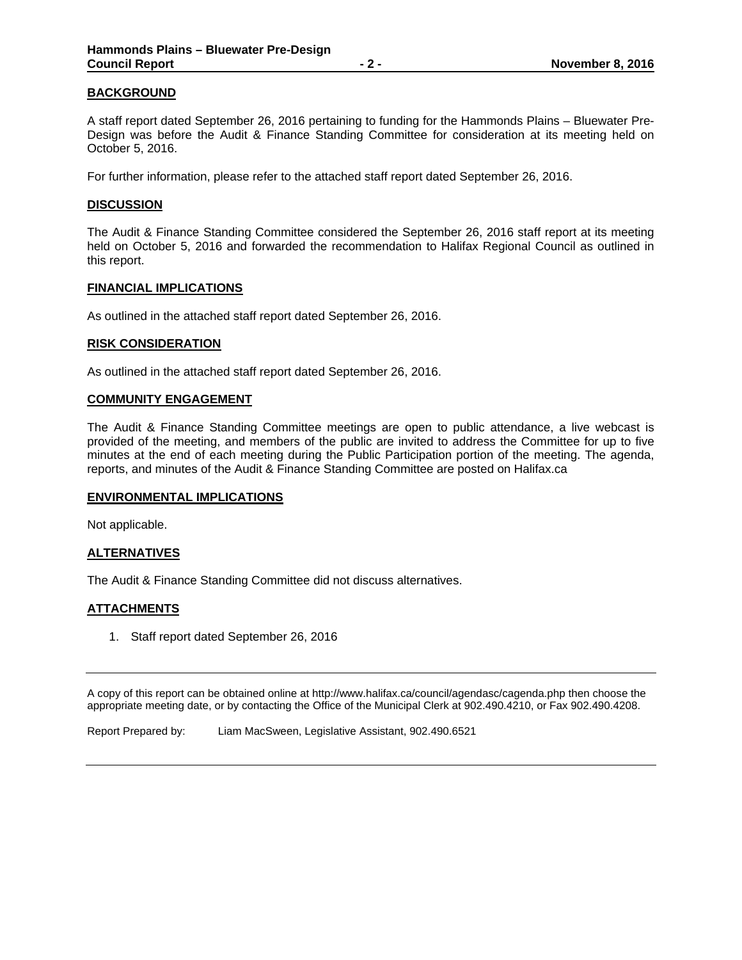## **BACKGROUND**

A staff report dated September 26, 2016 pertaining to funding for the Hammonds Plains – Bluewater Pre-Design was before the Audit & Finance Standing Committee for consideration at its meeting held on October 5, 2016.

For further information, please refer to the attached staff report dated September 26, 2016.

#### **DISCUSSION**

The Audit & Finance Standing Committee considered the September 26, 2016 staff report at its meeting held on October 5, 2016 and forwarded the recommendation to Halifax Regional Council as outlined in this report.

#### **FINANCIAL IMPLICATIONS**

As outlined in the attached staff report dated September 26, 2016.

#### **RISK CONSIDERATION**

As outlined in the attached staff report dated September 26, 2016.

#### **COMMUNITY ENGAGEMENT**

The Audit & Finance Standing Committee meetings are open to public attendance, a live webcast is provided of the meeting, and members of the public are invited to address the Committee for up to five minutes at the end of each meeting during the Public Participation portion of the meeting. The agenda, reports, and minutes of the Audit & Finance Standing Committee are posted on Halifax.ca

## **ENVIRONMENTAL IMPLICATIONS**

Not applicable.

## **ALTERNATIVES**

The Audit & Finance Standing Committee did not discuss alternatives.

## **ATTACHMENTS**

1. Staff report dated September 26, 2016

A copy of this report can be obtained online at http://www.halifax.ca/council/agendasc/cagenda.php then choose the appropriate meeting date, or by contacting the Office of the Municipal Clerk at 902.490.4210, or Fax 902.490.4208.

Report Prepared by: Liam MacSween, Legislative Assistant, 902.490.6521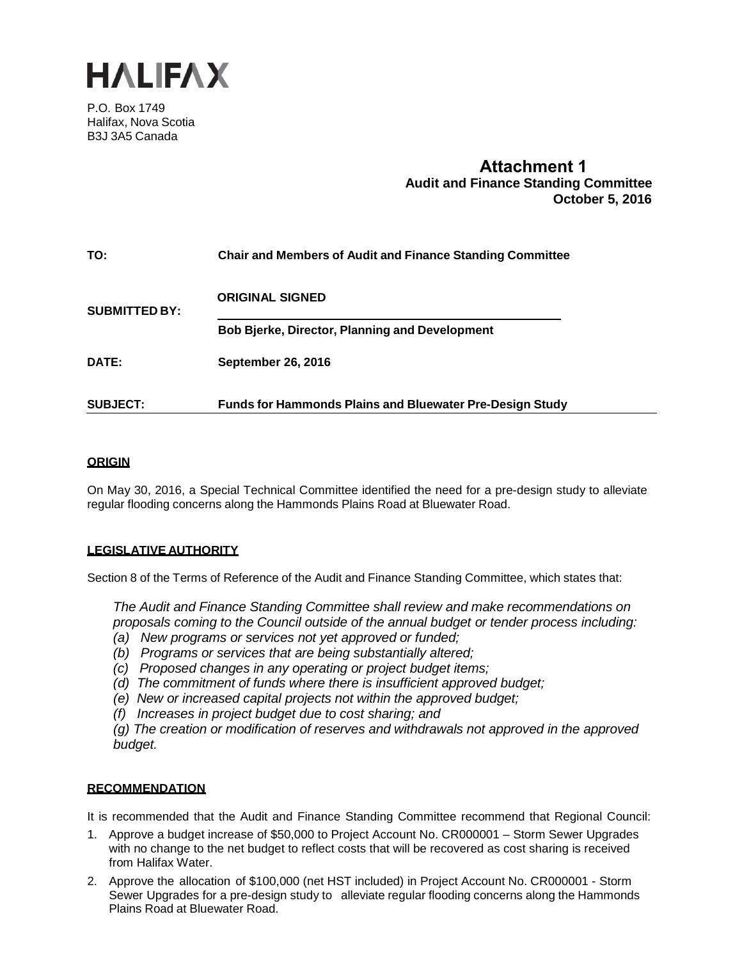

P.O. Box 1749 Halifax, Nova Scotia B3J 3A5 Canada

# **Attachment 1 Audit and Finance Standing Committee October 5, 2016**

| TO:                  | <b>Chair and Members of Audit and Finance Standing Committee</b> |
|----------------------|------------------------------------------------------------------|
| <b>SUBMITTED BY:</b> | <b>ORIGINAL SIGNED</b>                                           |
|                      | <b>Bob Bjerke, Director, Planning and Development</b>            |
| DATE:                | <b>September 26, 2016</b>                                        |
| <b>SUBJECT:</b>      | <b>Funds for Hammonds Plains and Bluewater Pre-Design Study</b>  |

## **ORIGIN**

On May 30, 2016, a Special Technical Committee identified the need for a pre-design study to alleviate regular flooding concerns along the Hammonds Plains Road at Bluewater Road.

## **LEGISLATIVE AUTHORITY**

Section 8 of the Terms of Reference of the Audit and Finance Standing Committee, which states that:

*The Audit and Finance Standing Committee shall review and make recommendations on proposals coming to the Council outside of the annual budget or tender process including: (a) New programs or services not yet approved or funded;*

- 
- *(b) Programs or services that are being substantially altered;*
- *(c) Proposed changes in any operating or project budget items;*
- *(d) The commitment of funds where there is insufficient approved budget;*
- *(e) New or increased capital projects not within the approved budget;*
- *(f) Increases in project budget due to cost sharing; and*

*(g) The creation or modification of reserves and withdrawals not approved in the approved budget.*

## **RECOMMENDATION**

It is recommended that the Audit and Finance Standing Committee recommend that Regional Council:

- 1. Approve a budget increase of \$50,000 to Project Account No. CR000001 Storm Sewer Upgrades with no change to the net budget to reflect costs that will be recovered as cost sharing is received from Halifax Water.
- 2. Approve the allocation of \$100,000 (net HST included) in Project Account No. CR000001 Storm Sewer Upgrades for a pre-design study to alleviate regular flooding concerns along the Hammonds Plains Road at Bluewater Road.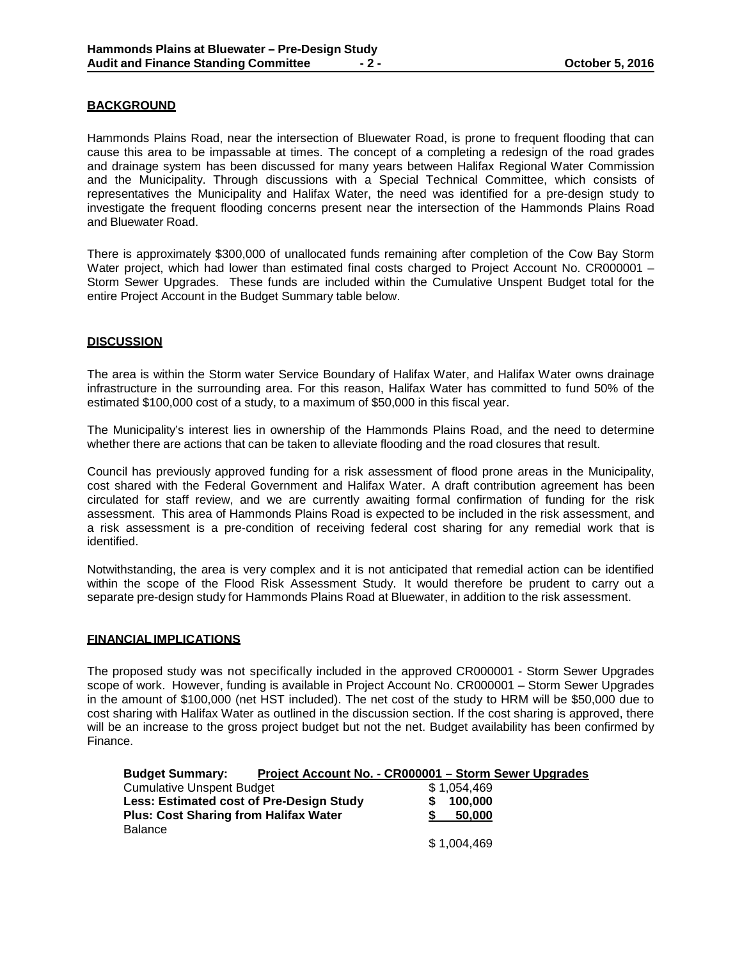## **BACKGROUND**

Hammonds Plains Road, near the intersection of Bluewater Road, is prone to frequent flooding that can cause this area to be impassable at times. The concept of a completing a redesign of the road grades and drainage system has been discussed for many years between Halifax Regional Water Commission and the Municipality. Through discussions with a Special Technical Committee, which consists of representatives the Municipality and Halifax Water, the need was identified for a pre-design study to investigate the frequent flooding concerns present near the intersection of the Hammonds Plains Road and Bluewater Road.

There is approximately \$300,000 of unallocated funds remaining after completion of the Cow Bay Storm Water project, which had lower than estimated final costs charged to Project Account No. CR000001 – Storm Sewer Upgrades. These funds are included within the Cumulative Unspent Budget total for the entire Project Account in the Budget Summary table below.

#### **DISCUSSION**

The area is within the Storm water Service Boundary of Halifax Water, and Halifax Water owns drainage infrastructure in the surrounding area. For this reason, Halifax Water has committed to fund 50% of the estimated \$100,000 cost of a study, to a maximum of \$50,000 in this fiscal year.

The Municipality's interest lies in ownership of the Hammonds Plains Road, and the need to determine whether there are actions that can be taken to alleviate flooding and the road closures that result.

Council has previously approved funding for a risk assessment of flood prone areas in the Municipality, cost shared with the Federal Government and Halifax Water. A draft contribution agreement has been circulated for staff review, and we are currently awaiting formal confirmation of funding for the risk assessment. This area of Hammonds Plains Road is expected to be included in the risk assessment, and a risk assessment is a pre-condition of receiving federal cost sharing for any remedial work that is identified.

Notwithstanding, the area is very complex and it is not anticipated that remedial action can be identified within the scope of the Flood Risk Assessment Study. It would therefore be prudent to carry out a separate pre-design study for Hammonds Plains Road at Bluewater, in addition to the risk assessment.

#### **FINANCIAL IMPLICATIONS**

The proposed study was not specifically included in the approved CR000001 - Storm Sewer Upgrades scope of work. However, funding is available in Project Account No. CR000001 – Storm Sewer Upgrades in the amount of \$100,000 (net HST included). The net cost of the study to HRM will be \$50,000 due to cost sharing with Halifax Water as outlined in the discussion section. If the cost sharing is approved, there will be an increase to the gross project budget but not the net. Budget availability has been confirmed by Finance.

| <b>Budget Summary:</b>                       |  | Project Account No. - CR000001 - Storm Sewer Upgrades |  |
|----------------------------------------------|--|-------------------------------------------------------|--|
| <b>Cumulative Unspent Budget</b>             |  | \$1.054.469                                           |  |
| Less: Estimated cost of Pre-Design Study     |  | 100,000                                               |  |
| <b>Plus: Cost Sharing from Halifax Water</b> |  | 50.000                                                |  |
| <b>Balance</b>                               |  |                                                       |  |
|                                              |  | \$1,004,469                                           |  |